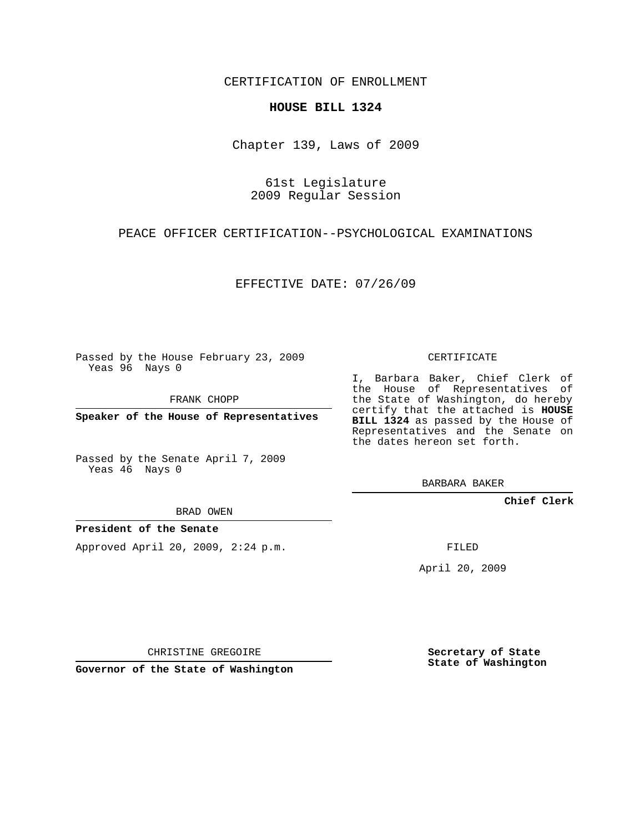CERTIFICATION OF ENROLLMENT

#### **HOUSE BILL 1324**

Chapter 139, Laws of 2009

# 61st Legislature 2009 Regular Session

### PEACE OFFICER CERTIFICATION--PSYCHOLOGICAL EXAMINATIONS

EFFECTIVE DATE: 07/26/09

Passed by the House February 23, 2009 Yeas 96 Nays 0

FRANK CHOPP

**Speaker of the House of Representatives**

Passed by the Senate April 7, 2009 Yeas 46 Nays 0

BRAD OWEN

#### **President of the Senate**

Approved April 20, 2009, 2:24 p.m.

CERTIFICATE

I, Barbara Baker, Chief Clerk of the House of Representatives of the State of Washington, do hereby certify that the attached is **HOUSE BILL 1324** as passed by the House of Representatives and the Senate on the dates hereon set forth.

BARBARA BAKER

**Chief Clerk**

FILED

April 20, 2009

CHRISTINE GREGOIRE

**Governor of the State of Washington**

**Secretary of State State of Washington**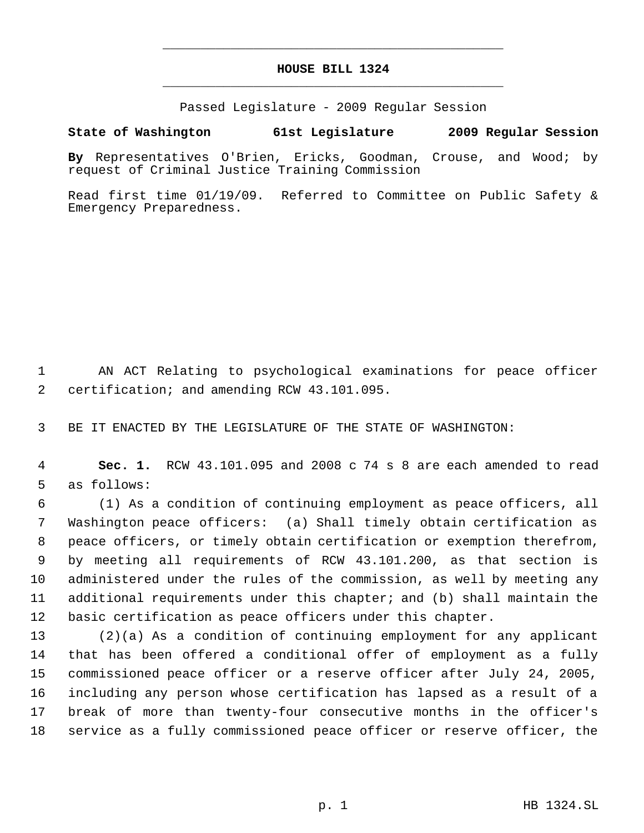# **HOUSE BILL 1324** \_\_\_\_\_\_\_\_\_\_\_\_\_\_\_\_\_\_\_\_\_\_\_\_\_\_\_\_\_\_\_\_\_\_\_\_\_\_\_\_\_\_\_\_\_

\_\_\_\_\_\_\_\_\_\_\_\_\_\_\_\_\_\_\_\_\_\_\_\_\_\_\_\_\_\_\_\_\_\_\_\_\_\_\_\_\_\_\_\_\_

Passed Legislature - 2009 Regular Session

# **State of Washington 61st Legislature 2009 Regular Session**

**By** Representatives O'Brien, Ericks, Goodman, Crouse, and Wood; by request of Criminal Justice Training Commission

Read first time 01/19/09. Referred to Committee on Public Safety & Emergency Preparedness.

 AN ACT Relating to psychological examinations for peace officer certification; and amending RCW 43.101.095.

BE IT ENACTED BY THE LEGISLATURE OF THE STATE OF WASHINGTON:

 **Sec. 1.** RCW 43.101.095 and 2008 c 74 s 8 are each amended to read as follows:

 (1) As a condition of continuing employment as peace officers, all Washington peace officers: (a) Shall timely obtain certification as peace officers, or timely obtain certification or exemption therefrom, by meeting all requirements of RCW 43.101.200, as that section is administered under the rules of the commission, as well by meeting any additional requirements under this chapter; and (b) shall maintain the basic certification as peace officers under this chapter.

 (2)(a) As a condition of continuing employment for any applicant that has been offered a conditional offer of employment as a fully commissioned peace officer or a reserve officer after July 24, 2005, including any person whose certification has lapsed as a result of a break of more than twenty-four consecutive months in the officer's service as a fully commissioned peace officer or reserve officer, the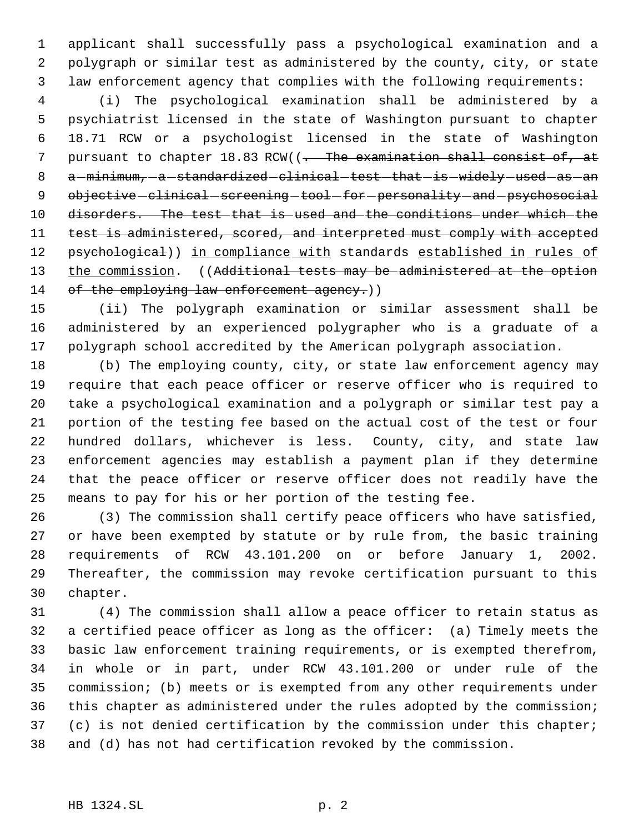applicant shall successfully pass a psychological examination and a polygraph or similar test as administered by the county, city, or state law enforcement agency that complies with the following requirements:

 (i) The psychological examination shall be administered by a psychiatrist licensed in the state of Washington pursuant to chapter 18.71 RCW or a psychologist licensed in the state of Washington 7 pursuant to chapter 18.83 RCW((<del>. The examination shall consist of, at</del> 8 a-minimum, a-standardized clinical test that is widely used as an 9 objective - clinical - screening - tool - for - personality - and - psychosocial disorders. The test that is used and the conditions under which the 11 test is administered, scored, and interpreted must comply with accepted 12 psychological)) in compliance with standards established in rules of 13 the commission. ((Additional tests may be administered at the option 14 of the employing law enforcement agency.)

 (ii) The polygraph examination or similar assessment shall be administered by an experienced polygrapher who is a graduate of a polygraph school accredited by the American polygraph association.

 (b) The employing county, city, or state law enforcement agency may require that each peace officer or reserve officer who is required to take a psychological examination and a polygraph or similar test pay a portion of the testing fee based on the actual cost of the test or four hundred dollars, whichever is less. County, city, and state law enforcement agencies may establish a payment plan if they determine that the peace officer or reserve officer does not readily have the means to pay for his or her portion of the testing fee.

 (3) The commission shall certify peace officers who have satisfied, or have been exempted by statute or by rule from, the basic training requirements of RCW 43.101.200 on or before January 1, 2002. Thereafter, the commission may revoke certification pursuant to this chapter.

 (4) The commission shall allow a peace officer to retain status as a certified peace officer as long as the officer: (a) Timely meets the basic law enforcement training requirements, or is exempted therefrom, in whole or in part, under RCW 43.101.200 or under rule of the commission; (b) meets or is exempted from any other requirements under this chapter as administered under the rules adopted by the commission; (c) is not denied certification by the commission under this chapter; and (d) has not had certification revoked by the commission.